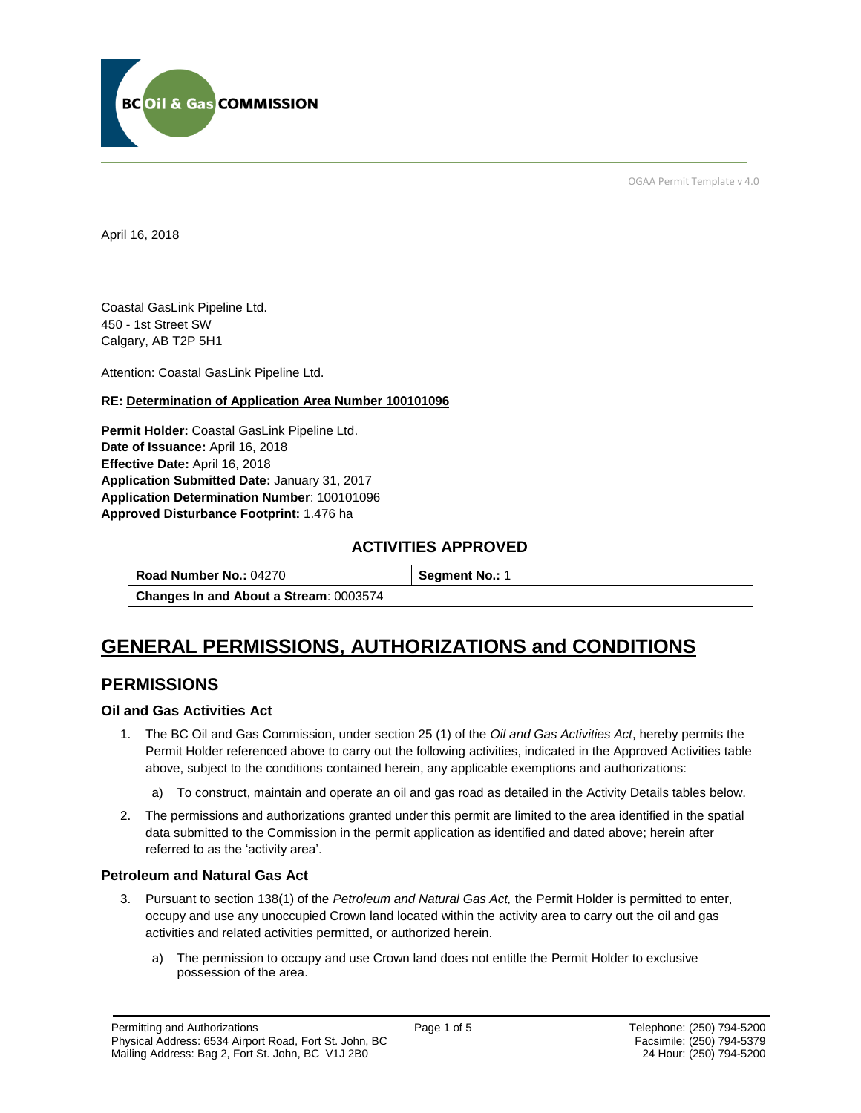

OGAA Permit Template v 4.0

April 16, 2018

Coastal GasLink Pipeline Ltd. 450 - 1st Street SW Calgary, AB T2P 5H1

[Attention:](#page-0-0) Coastal GasLink Pipeline Ltd.

#### **RE: Determination of Application Area Number 100101096**

**[Permit Holder:](#page-0-0)** Coastal GasLink Pipeline Ltd. **[Date of Issuance:](#page-0-0)** April 16, 2018 **[Effective Date:](#page-0-1)** April 16, 2018 **[Application Submitted Date:](#page-0-0)** January 31, 2017 **[Application Determination Number](#page-0-0)**: 100101096 **Approved Disturbance Footprint:** 1.476 ha

### **ACTIVITIES APPROVED**

**[Road Number No.:](#page-0-0) 04270 <br><b>[Segment No.:](https://bi.bcogc.ca/Application%20Processing/Interactive%20Reports/(BIL-041)%20AMS%20Decision%20Summary.aspx) 1 [Changes In and About a Stream](#page-0-0)**: 0003574

# **GENERAL PERMISSIONS, AUTHORIZATIONS and CONDITIONS**

## **PERMISSIONS**

#### **Oil and Gas Activities Act**

- <span id="page-0-0"></span>1. The BC Oil and Gas Commission, under section 25 (1) of the *Oil and Gas Activities Act*, hereby permits the Permit Holder referenced above to carry out the following activities, indicated in the Approved Activities table above, subject to the conditions contained herein, any applicable exemptions and authorizations:
	- a) To construct, maintain and operate an oil and gas road as detailed in the Activity Details tables below.
- <span id="page-0-1"></span>2. The permissions and authorizations granted under this permit are limited to the area identified in the spatial data submitted to the Commission in the permit application as identified and dated above; herein after referred to as the 'activity area'.

#### **Petroleum and Natural Gas Act**

- 3. Pursuant to section 138(1) of the *Petroleum and Natural Gas Act,* the Permit Holder is permitted to enter, occupy and use any unoccupied Crown land located within the activity area to carry out the oil and gas activities and related activities permitted, or authorized herein.
	- a) The permission to occupy and use Crown land does not entitle the Permit Holder to exclusive possession of the area.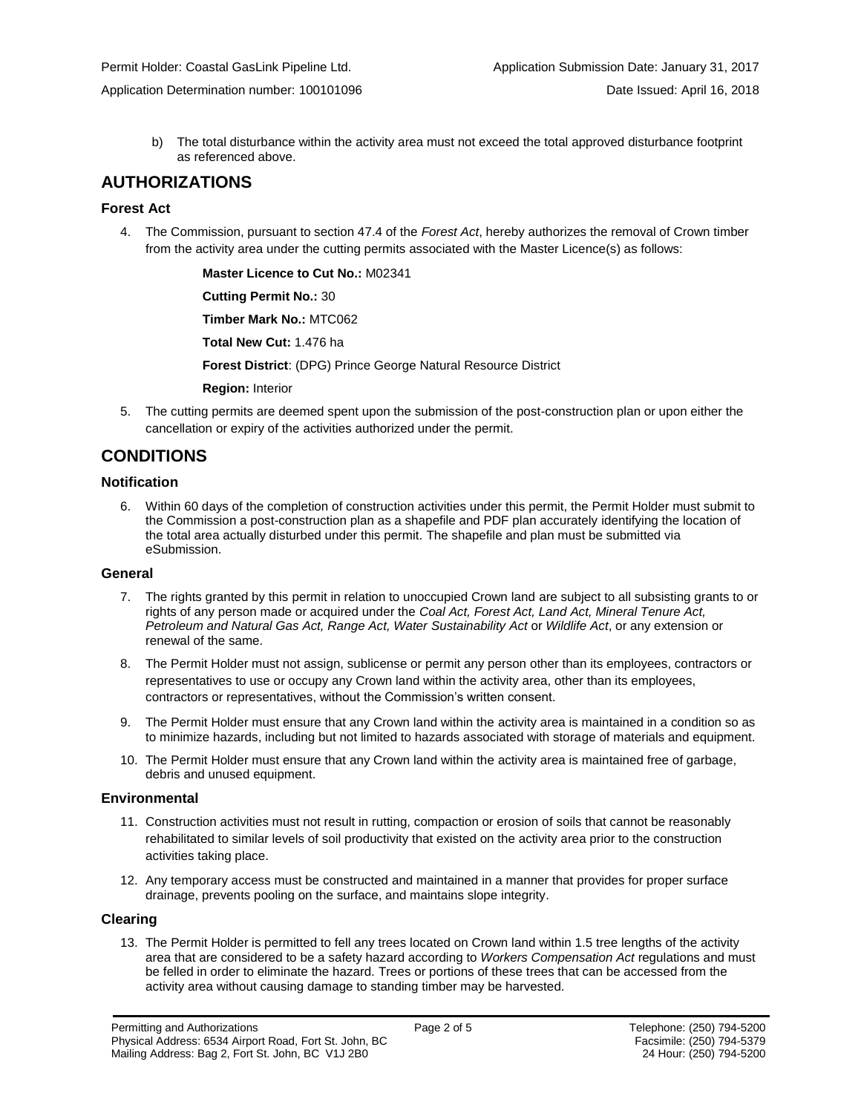b) The total disturbance within the activity area must not exceed the total approved disturbance footprint as referenced above.

## **AUTHORIZATIONS**

#### **Forest Act**

4. The Commission, pursuant to section 47.4 of the *Forest Act*, hereby authorizes the removal of Crown timber from the activity area under the cutting permits associated with the Master Licence(s) as follows:

**[Master Licence to Cut No.:](#page-0-0)** M02341

**[Cutting Permit No.:](#page-0-0)** 30

**[Timber Mark No.:](#page-0-0)** MTC062

**[Total New Cut:](#page-0-0)** 1.476 ha

**[Forest District](https://ams-crd.bcogc.ca/crd/)**: (DPG) Prince George Natural Resource District

**[Region:](#page-0-1)** Interior

5. The cutting permits are deemed spent upon the submission of the post-construction plan or upon either the cancellation or expiry of the activities authorized under the permit.

## **CONDITIONS**

#### **Notification**

6. Within 60 days of the completion of construction activities under this permit, the Permit Holder must submit to the Commission a post-construction plan as a shapefile and PDF plan accurately identifying the location of the total area actually disturbed under this permit. The shapefile and plan must be submitted via eSubmission.

#### **General**

- 7. The rights granted by this permit in relation to unoccupied Crown land are subject to all subsisting grants to or rights of any person made or acquired under the *Coal Act, Forest Act, Land Act, Mineral Tenure Act, Petroleum and Natural Gas Act, Range Act, Water Sustainability Act* or *Wildlife Act*, or any extension or renewal of the same.
- 8. The Permit Holder must not assign, sublicense or permit any person other than its employees, contractors or representatives to use or occupy any Crown land within the activity area, other than its employees, contractors or representatives, without the Commission's written consent.
- 9. The Permit Holder must ensure that any Crown land within the activity area is maintained in a condition so as to minimize hazards, including but not limited to hazards associated with storage of materials and equipment.
- 10. The Permit Holder must ensure that any Crown land within the activity area is maintained free of garbage, debris and unused equipment.

#### **Environmental**

- 11. Construction activities must not result in rutting, compaction or erosion of soils that cannot be reasonably rehabilitated to similar levels of soil productivity that existed on the activity area prior to the construction activities taking place.
- 12. Any temporary access must be constructed and maintained in a manner that provides for proper surface drainage, prevents pooling on the surface, and maintains slope integrity.

#### **Clearing**

13. The Permit Holder is permitted to fell any trees located on Crown land within 1.5 tree lengths of the activity area that are considered to be a safety hazard according to *Workers Compensation Act* regulations and must be felled in order to eliminate the hazard. Trees or portions of these trees that can be accessed from the activity area without causing damage to standing timber may be harvested.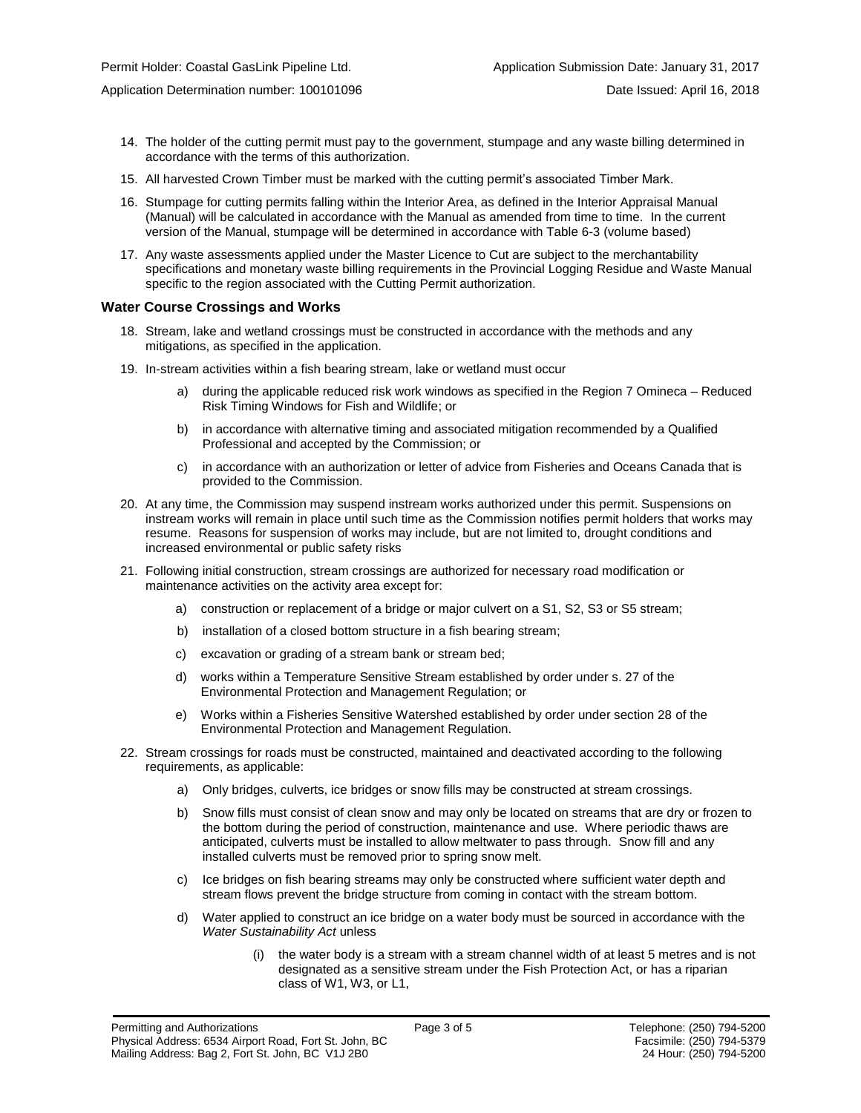- 14. The holder of the cutting permit must pay to the government, stumpage and any waste billing determined in accordance with the terms of this authorization.
- 15. All harvested Crown Timber must be marked with the cutting permit's associated Timber Mark.
- 16. Stumpage for cutting permits falling within the Interior Area, as defined in the Interior Appraisal Manual (Manual) will be calculated in accordance with the Manual as amended from time to time. In the current version of the Manual, stumpage will be determined in accordance with Table 6-3 (volume based)
- 17. Any waste assessments applied under the Master Licence to Cut are subject to the merchantability specifications and monetary waste billing requirements in the Provincial Logging Residue and Waste Manual specific to the region associated with the Cutting Permit authorization.

#### **Water Course Crossings and Works**

- 18. Stream, lake and wetland crossings must be constructed in accordance with the methods and any mitigations, as specified in the application.
- 19. In-stream activities within a fish bearing stream, lake or wetland must occur
	- a) [during the applicable reduced risk work windows as specified in the](#page-0-0) Region 7 Omineca Reduced Risk Timing Windows for Fish and Wildlife; or
	- b) in accordance with alternative timing and associated mitigation recommended by a Qualified Professional and accepted by the Commission; or
	- c) in accordance with an authorization or letter of advice from Fisheries and Oceans Canada that is provided to the Commission.
- 20. At any time, the Commission may suspend instream works authorized under this permit. Suspensions on instream works will remain in place until such time as the Commission notifies permit holders that works may resume. Reasons for suspension of works may include, but are not limited to, drought conditions and increased environmental or public safety risks
- 21. Following initial construction, stream crossings are authorized for necessary road modification or maintenance activities on the activity area except for:
	- a) construction or replacement of a bridge or major culvert on a S1, S2, S3 or S5 stream;
	- b) installation of a closed bottom structure in a fish bearing stream;
	- c) excavation or grading of a stream bank or stream bed;
	- d) works within a Temperature Sensitive Stream established by order under s. 27 of the Environmental Protection and Management Regulation; or
	- e) Works within a Fisheries Sensitive Watershed established by order under section 28 of the Environmental Protection and Management Regulation.
- 22. Stream crossings for roads must be constructed, maintained and deactivated according to the following requirements, as applicable:
	- a) Only bridges, culverts, ice bridges or snow fills may be constructed at stream crossings.
	- b) Snow fills must consist of clean snow and may only be located on streams that are dry or frozen to the bottom during the period of construction, maintenance and use. Where periodic thaws are anticipated, culverts must be installed to allow meltwater to pass through. Snow fill and any installed culverts must be removed prior to spring snow melt.
	- c) Ice bridges on fish bearing streams may only be constructed where sufficient water depth and stream flows prevent the bridge structure from coming in contact with the stream bottom.
	- d) Water applied to construct an ice bridge on a water body must be sourced in accordance with the *Water Sustainability Act* unless
		- (i) the water body is a stream with a stream channel width of at least 5 metres and is not designated as a sensitive stream under the Fish Protection Act, or has a riparian class of W1, W3, or L1,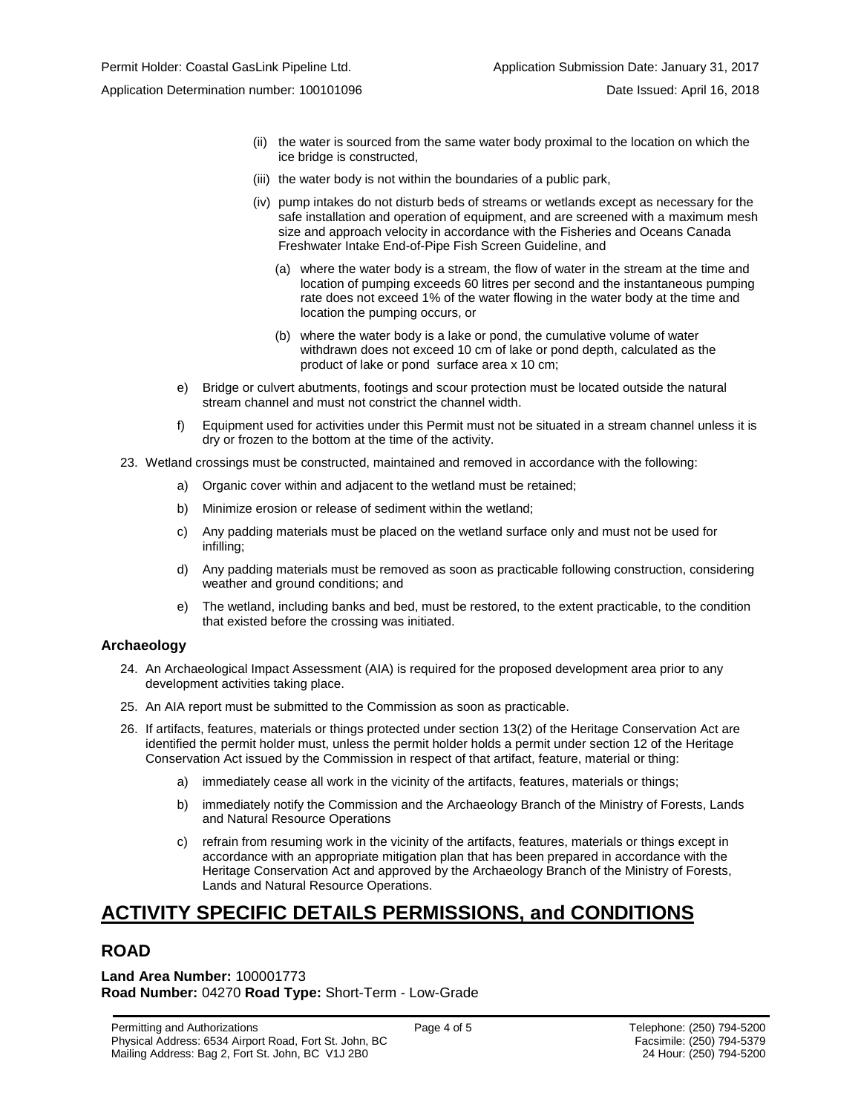- (ii) the water is sourced from the same water body proximal to the location on which the ice bridge is constructed,
- (iii) the water body is not within the boundaries of a public park,
- (iv) pump intakes do not disturb beds of streams or wetlands except as necessary for the safe installation and operation of equipment, and are screened with a maximum mesh size and approach velocity in accordance with the Fisheries and Oceans Canada Freshwater Intake End-of-Pipe Fish Screen Guideline, and
	- (a) where the water body is a stream, the flow of water in the stream at the time and location of pumping exceeds 60 litres per second and the instantaneous pumping rate does not exceed 1% of the water flowing in the water body at the time and location the pumping occurs, or
	- (b) where the water body is a lake or pond, the cumulative volume of water withdrawn does not exceed 10 cm of lake or pond depth, calculated as the product of lake or pond surface area x 10 cm;
- e) Bridge or culvert abutments, footings and scour protection must be located outside the natural stream channel and must not constrict the channel width.
- f) Equipment used for activities under this Permit must not be situated in a stream channel unless it is dry or frozen to the bottom at the time of the activity.
- 23. Wetland crossings must be constructed, maintained and removed in accordance with the following:
	- a) Organic cover within and adjacent to the wetland must be retained;
	- b) Minimize erosion or release of sediment within the wetland;
	- c) Any padding materials must be placed on the wetland surface only and must not be used for infilling;
	- d) Any padding materials must be removed as soon as practicable following construction, considering weather and ground conditions; and
	- e) The wetland, including banks and bed, must be restored, to the extent practicable, to the condition that existed before the crossing was initiated.

#### **Archaeology**

- 24. An Archaeological Impact Assessment (AIA) is required for the proposed development area prior to any development activities taking place.
- 25. An AIA report must be submitted to the Commission as soon as practicable.
- 26. If artifacts, features, materials or things protected under section 13(2) of the Heritage Conservation Act are identified the permit holder must, unless the permit holder holds a permit under section 12 of the Heritage Conservation Act issued by the Commission in respect of that artifact, feature, material or thing:
	- a) immediately cease all work in the vicinity of the artifacts, features, materials or things;
	- b) immediately notify the Commission and the Archaeology Branch of the Ministry of Forests, Lands and Natural Resource Operations
	- c) refrain from resuming work in the vicinity of the artifacts, features, materials or things except in accordance with an appropriate mitigation plan that has been prepared in accordance with the Heritage Conservation Act and approved by the Archaeology Branch of the Ministry of Forests, Lands and Natural Resource Operations.

# **ACTIVITY SPECIFIC DETAILS PERMISSIONS, and CONDITIONS**

## **ROAD**

**Land Area Number:** 100001773 **Road Number:** 04270 **Road Type:** Short-Term - Low-Grade